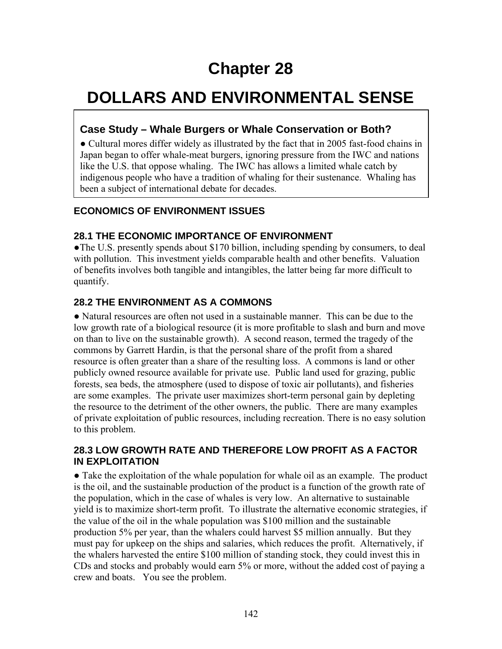# **Chapter 28**

# **DOLLARS AND ENVIRONMENTAL SENSE**

# **Case Study – Whale Burgers or Whale Conservation or Both?**

● Cultural mores differ widely as illustrated by the fact that in 2005 fast-food chains in Japan began to offer whale-meat burgers, ignoring pressure from the IWC and nations like the U.S. that oppose whaling. The IWC has allows a limited whale catch by indigenous people who have a tradition of whaling for their sustenance. Whaling has been a subject of international debate for decades.

# **ECONOMICS OF ENVIRONMENT ISSUES**

#### **28.1 THE ECONOMIC IMPORTANCE OF ENVIRONMENT**

• The U.S. presently spends about \$170 billion, including spending by consumers, to deal with pollution. This investment yields comparable health and other benefits. Valuation of benefits involves both tangible and intangibles, the latter being far more difficult to quantify.

#### **28.2 THE ENVIRONMENT AS A COMMONS**

● Natural resources are often not used in a sustainable manner. This can be due to the low growth rate of a biological resource (it is more profitable to slash and burn and move on than to live on the sustainable growth). A second reason, termed the tragedy of the commons by Garrett Hardin, is that the personal share of the profit from a shared resource is often greater than a share of the resulting loss. A commons is land or other publicly owned resource available for private use. Public land used for grazing, public forests, sea beds, the atmosphere (used to dispose of toxic air pollutants), and fisheries are some examples. The private user maximizes short-term personal gain by depleting the resource to the detriment of the other owners, the public. There are many examples of private exploitation of public resources, including recreation. There is no easy solution to this problem.

#### **28.3 LOW GROWTH RATE AND THEREFORE LOW PROFIT AS A FACTOR IN EXPLOITATION**

● Take the exploitation of the whale population for whale oil as an example. The product is the oil, and the sustainable production of the product is a function of the growth rate of the population, which in the case of whales is very low. An alternative to sustainable yield is to maximize short-term profit. To illustrate the alternative economic strategies, if the value of the oil in the whale population was \$100 million and the sustainable production 5% per year, than the whalers could harvest \$5 million annually. But they must pay for upkeep on the ships and salaries, which reduces the profit. Alternatively, if the whalers harvested the entire \$100 million of standing stock, they could invest this in CDs and stocks and probably would earn 5% or more, without the added cost of paying a crew and boats. You see the problem.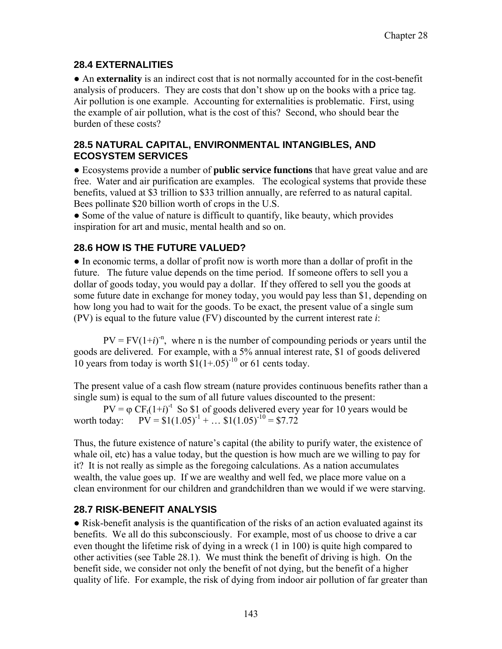### **28.4 EXTERNALITIES**

● An **externality** is an indirect cost that is not normally accounted for in the cost-benefit analysis of producers. They are costs that don't show up on the books with a price tag. Air pollution is one example. Accounting for externalities is problematic. First, using the example of air pollution, what is the cost of this? Second, who should bear the burden of these costs?

#### **28.5 NATURAL CAPITAL, ENVIRONMENTAL INTANGIBLES, AND ECOSYSTEM SERVICES**

● Ecosystems provide a number of **public service functions** that have great value and are free. Water and air purification are examples. The ecological systems that provide these benefits, valued at \$3 trillion to \$33 trillion annually, are referred to as natural capital. Bees pollinate \$20 billion worth of crops in the U.S.

• Some of the value of nature is difficult to quantify, like beauty, which provides inspiration for art and music, mental health and so on.

# **28.6 HOW IS THE FUTURE VALUED?**

● In economic terms, a dollar of profit now is worth more than a dollar of profit in the future. The future value depends on the time period. If someone offers to sell you a dollar of goods today, you would pay a dollar. If they offered to sell you the goods at some future date in exchange for money today, you would pay less than \$1, depending on how long you had to wait for the goods. To be exact, the present value of a single sum (PV) is equal to the future value (FV) discounted by the current interest rate *i*:

 $PV = FV(1+i)^{-n}$ , where n is the number of compounding periods or years until the goods are delivered. For example, with a 5% annual interest rate, \$1 of goods delivered 10 years from today is worth  $$1(1+.05)^{-10}$  or 61 cents today.

The present value of a cash flow stream (nature provides continuous benefits rather than a single sum) is equal to the sum of all future values discounted to the present:

 $PV = \varphi CF_t(1+i)^{-t}$  So \$1 of goods delivered every year for 10 years would be worth today:  $PV = $1(1.05)^{-1} + ... $1(1.05)^{-10} = $7.72$ 

Thus, the future existence of nature's capital (the ability to purify water, the existence of whale oil, etc) has a value today, but the question is how much are we willing to pay for it? It is not really as simple as the foregoing calculations. As a nation accumulates wealth, the value goes up. If we are wealthy and well fed, we place more value on a clean environment for our children and grandchildren than we would if we were starving.

# **28.7 RISK-BENEFIT ANALYSIS**

● Risk-benefit analysis is the quantification of the risks of an action evaluated against its benefits. We all do this subconsciously. For example, most of us choose to drive a car even thought the lifetime risk of dying in a wreck (1 in 100) is quite high compared to other activities (see Table 28.1). We must think the benefit of driving is high. On the benefit side, we consider not only the benefit of not dying, but the benefit of a higher quality of life. For example, the risk of dying from indoor air pollution of far greater than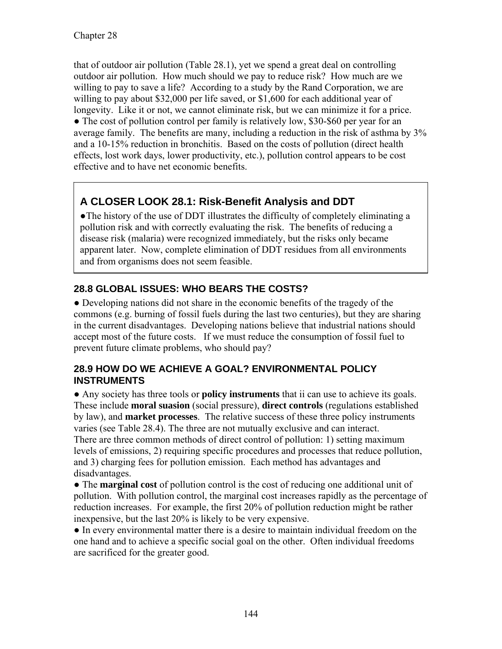that of outdoor air pollution (Table 28.1), yet we spend a great deal on controlling outdoor air pollution. How much should we pay to reduce risk? How much are we willing to pay to save a life? According to a study by the Rand Corporation, we are willing to pay about \$32,000 per life saved, or \$1,600 for each additional year of longevity. Like it or not, we cannot eliminate risk, but we can minimize it for a price. • The cost of pollution control per family is relatively low, \$30-\$60 per year for an average family. The benefits are many, including a reduction in the risk of asthma by 3% and a 10-15% reduction in bronchitis. Based on the costs of pollution (direct health effects, lost work days, lower productivity, etc.), pollution control appears to be cost effective and to have net economic benefits.

# **A CLOSER LOOK 28.1: Risk-Benefit Analysis and DDT**

●The history of the use of DDT illustrates the difficulty of completely eliminating a pollution risk and with correctly evaluating the risk. The benefits of reducing a disease risk (malaria) were recognized immediately, but the risks only became apparent later. Now, complete elimination of DDT residues from all environments and from organisms does not seem feasible.

# **28.8 GLOBAL ISSUES: WHO BEARS THE COSTS?**

● Developing nations did not share in the economic benefits of the tragedy of the commons (e.g. burning of fossil fuels during the last two centuries), but they are sharing in the current disadvantages. Developing nations believe that industrial nations should accept most of the future costs. If we must reduce the consumption of fossil fuel to prevent future climate problems, who should pay?

#### **28.9 HOW DO WE ACHIEVE A GOAL? ENVIRONMENTAL POLICY INSTRUMENTS**

● Any society has three tools or **policy instruments** that ii can use to achieve its goals. These include **moral suasion** (social pressure), **direct controls** (regulations established by law), and **market processes**. The relative success of these three policy instruments varies (see Table 28.4). The three are not mutually exclusive and can interact. There are three common methods of direct control of pollution: 1) setting maximum levels of emissions, 2) requiring specific procedures and processes that reduce pollution, and 3) charging fees for pollution emission. Each method has advantages and disadvantages.

● The **marginal cost** of pollution control is the cost of reducing one additional unit of pollution. With pollution control, the marginal cost increases rapidly as the percentage of reduction increases. For example, the first 20% of pollution reduction might be rather inexpensive, but the last 20% is likely to be very expensive.

● In every environmental matter there is a desire to maintain individual freedom on the one hand and to achieve a specific social goal on the other. Often individual freedoms are sacrificed for the greater good.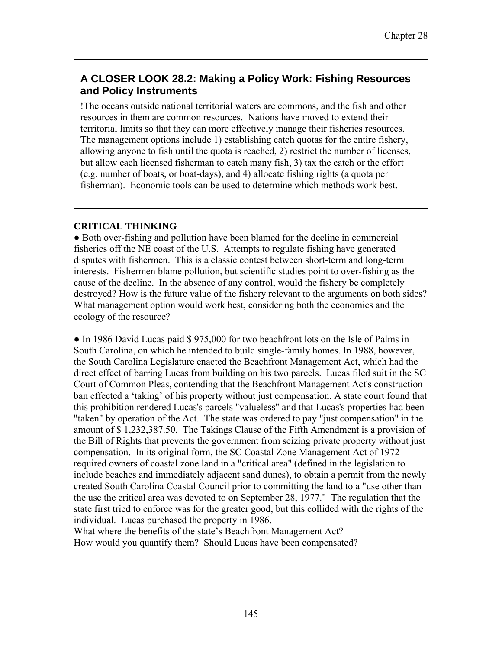# **A CLOSER LOOK 28.2: Making a Policy Work: Fishing Resources and Policy Instruments**

!The oceans outside national territorial waters are commons, and the fish and other resources in them are common resources. Nations have moved to extend their territorial limits so that they can more effectively manage their fisheries resources. The management options include 1) establishing catch quotas for the entire fishery, allowing anyone to fish until the quota is reached, 2) restrict the number of licenses, but allow each licensed fisherman to catch many fish, 3) tax the catch or the effort (e.g. number of boats, or boat-days), and 4) allocate fishing rights (a quota per fisherman). Economic tools can be used to determine which methods work best.

#### **CRITICAL THINKING**

● Both over-fishing and pollution have been blamed for the decline in commercial fisheries off the NE coast of the U.S. Attempts to regulate fishing have generated disputes with fishermen. This is a classic contest between short-term and long-term interests. Fishermen blame pollution, but scientific studies point to over-fishing as the cause of the decline. In the absence of any control, would the fishery be completely destroyed? How is the future value of the fishery relevant to the arguments on both sides? What management option would work best, considering both the economics and the ecology of the resource?

• In 1986 David Lucas paid \$ 975,000 for two beachfront lots on the Isle of Palms in South Carolina, on which he intended to build single-family homes. In 1988, however, the South Carolina Legislature enacted the Beachfront Management Act, which had the direct effect of barring Lucas from building on his two parcels. Lucas filed suit in the SC Court of Common Pleas, contending that the Beachfront Management Act's construction ban effected a 'taking' of his property without just compensation. A state court found that this prohibition rendered Lucas's parcels "valueless" and that Lucas's properties had been "taken" by operation of the Act. The state was ordered to pay "just compensation" in the amount of \$ 1,232,387.50. The Takings Clause of the Fifth Amendment is a provision of the Bill of Rights that prevents the government from seizing private property without just compensation. In its original form, the SC Coastal Zone Management Act of 1972 required owners of coastal zone land in a "critical area" (defined in the legislation to include beaches and immediately adjacent sand dunes), to obtain a permit from the newly created South Carolina Coastal Council prior to committing the land to a "use other than the use the critical area was devoted to on September 28, 1977." The regulation that the state first tried to enforce was for the greater good, but this collided with the rights of the individual. Lucas purchased the property in 1986.

What where the benefits of the state's Beachfront Management Act? How would you quantify them? Should Lucas have been compensated?